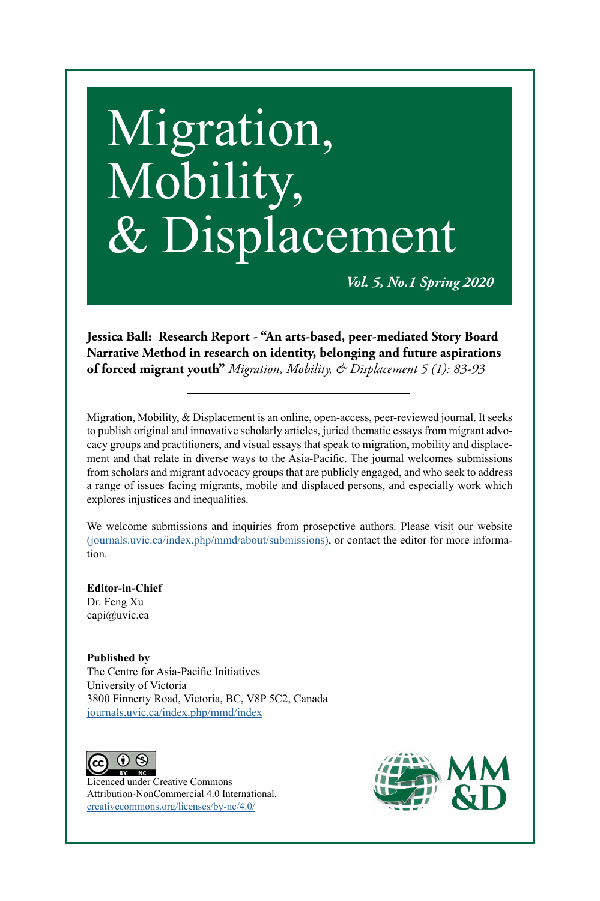# Migration, Mobility, & Displacement

*Vol. 5, No.1 Spring 2020*

**Jessica Ball: Research Report** *-* **"An arts-based, peer-mediated Story Board Narrative Method in research on identity, belonging and future aspirations of forced migrant youth"** *Migration, Mobility, & Displacement 5 (1): 83-93*

Migration, Mobility, & Displacement is an online, open-access, peer-reviewed journal. It seeks to publish original and innovative scholarly articles, juried thematic essays from migrant advocacy groups and practitioners, and visual essays that speak to migration, mobility and displacement and that relate in diverse ways to the Asia-Pacific. The journal welcomes submissions from scholars and migrant advocacy groups that are publicly engaged, and who seek to address a range of issues facing migrants, mobile and displaced persons, and especially work which explores injustices and inequalities.

We welcome submissions and inquiries from prosepctive authors. Please visit our website [\(journals.uvic.ca/index.php/mmd/about/submissions\),](https://journals.uvic.ca/index.php/mmd/about/submissions) or contact the editor for more information.

**Editor-in-Chief** Dr. Feng Xu capi@uvic.ca

**Published by**  The Centre for Asia-Pacific Initiatives University of Victoria 3800 Finnerty Road, Victoria, BC, V8P 5C2, Canada [journals.uvic.ca/index.php/mmd/index](http://journals.uvic.ca/index.php/mmd/index
)



Licenced under Creative Commons Attribution-NonCommercial 4.0 International. [creativecommons.org/licenses/by-nc/4.0/](http://creativecommons.org/licenses/by-nc/4.0/)

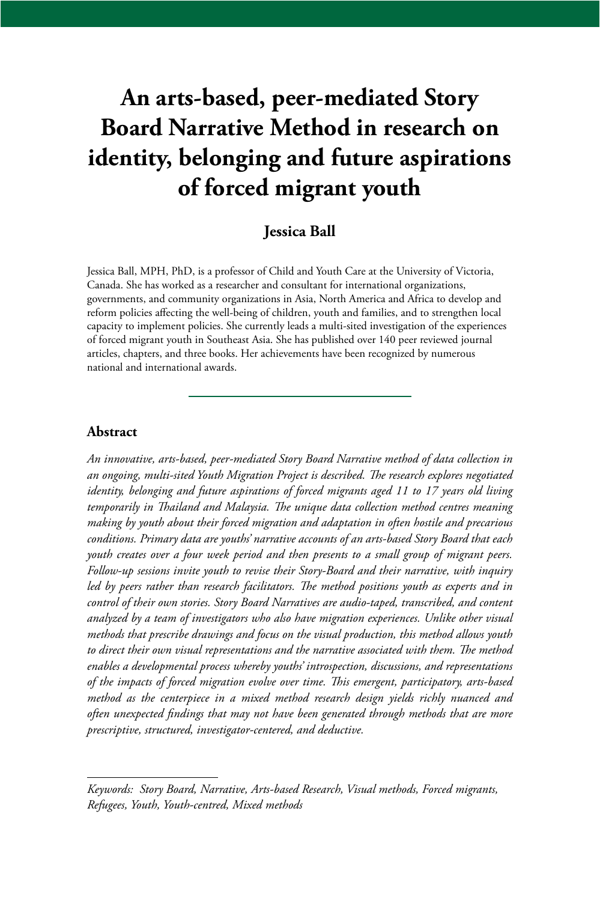# **An arts-based, peer-mediated Story Board Narrative Method in research on identity, belonging and future aspirations of forced migrant youth**

# **Jessica Ball**

Jessica Ball, MPH, PhD, is a professor of Child and Youth Care at the University of Victoria, Canada. She has worked as a researcher and consultant for international organizations, governments, and community organizations in Asia, North America and Africa to develop and reform policies affecting the well-being of children, youth and families, and to strengthen local capacity to implement policies. She currently leads a multi-sited investigation of the experiences of forced migrant youth in Southeast Asia. She has published over 140 peer reviewed journal articles, chapters, and three books. Her achievements have been recognized by numerous national and international awards.

#### **Abstract**

*An innovative, arts-based, peer-mediated Story Board Narrative method of data collection in an ongoing, multi-sited Youth Migration Project is described. The research explores negotiated identity, belonging and future aspirations of forced migrants aged 11 to 17 years old living temporarily in Thailand and Malaysia. The unique data collection method centres meaning making by youth about their forced migration and adaptation in often hostile and precarious conditions. Primary data are youths' narrative accounts of an arts-based Story Board that each youth creates over a four week period and then presents to a small group of migrant peers. Follow-up sessions invite youth to revise their Story-Board and their narrative, with inquiry led by peers rather than research facilitators. The method positions youth as experts and in control of their own stories. Story Board Narratives are audio-taped, transcribed, and content analyzed by a team of investigators who also have migration experiences. Unlike other visual methods that prescribe drawings and focus on the visual production, this method allows youth to direct their own visual representations and the narrative associated with them. The method enables a developmental process whereby youths' introspection, discussions, and representations of the impacts of forced migration evolve over time. This emergent, participatory, arts-based method as the centerpiece in a mixed method research design yields richly nuanced and often unexpected findings that may not have been generated through methods that are more prescriptive, structured, investigator-centered, and deductive.* 

*Keywords: Story Board, Narrative, Arts-based Research, Visual methods, Forced migrants, Refugees, Youth, Youth-centred, Mixed methods*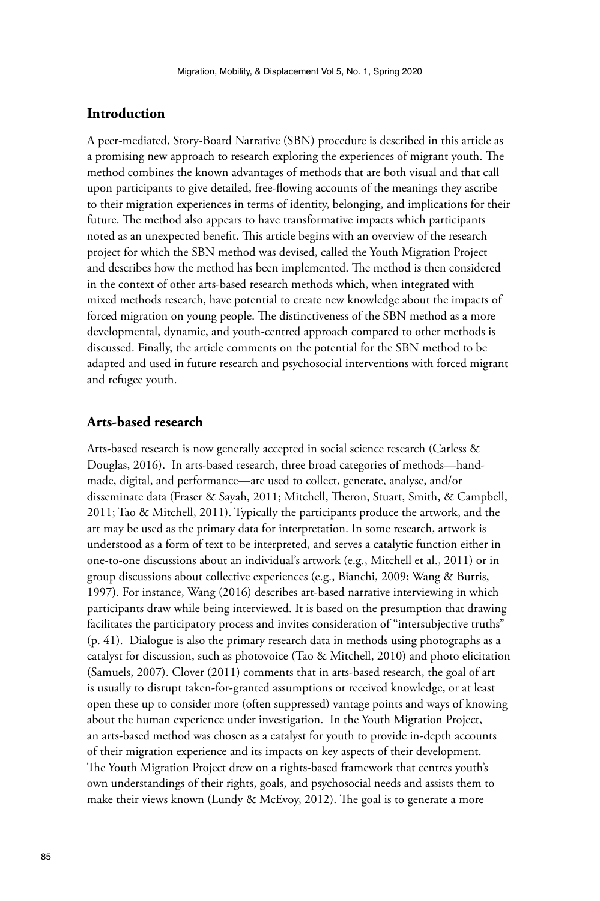#### **Introduction**

A peer-mediated, Story-Board Narrative (SBN) procedure is described in this article as a promising new approach to research exploring the experiences of migrant youth. The method combines the known advantages of methods that are both visual and that call upon participants to give detailed, free-flowing accounts of the meanings they ascribe to their migration experiences in terms of identity, belonging, and implications for their future. The method also appears to have transformative impacts which participants noted as an unexpected benefit. This article begins with an overview of the research project for which the SBN method was devised, called the Youth Migration Project and describes how the method has been implemented. The method is then considered in the context of other arts-based research methods which, when integrated with mixed methods research, have potential to create new knowledge about the impacts of forced migration on young people. The distinctiveness of the SBN method as a more developmental, dynamic, and youth-centred approach compared to other methods is discussed. Finally, the article comments on the potential for the SBN method to be adapted and used in future research and psychosocial interventions with forced migrant and refugee youth.

#### **Arts-based research**

Arts-based research is now generally accepted in social science research (Carless & Douglas, 2016). In arts-based research, three broad categories of methods—handmade, digital, and performance—are used to collect, generate, analyse, and/or disseminate data (Fraser & Sayah, 2011; Mitchell, Theron, Stuart, Smith, & Campbell, 2011; Tao & Mitchell, 2011). Typically the participants produce the artwork, and the art may be used as the primary data for interpretation. In some research, artwork is understood as a form of text to be interpreted, and serves a catalytic function either in one-to-one discussions about an individual's artwork (e.g., Mitchell et al., 2011) or in group discussions about collective experiences (e.g., Bianchi, 2009; Wang & Burris, 1997). For instance, Wang (2016) describes art-based narrative interviewing in which participants draw while being interviewed. It is based on the presumption that drawing facilitates the participatory process and invites consideration of "intersubjective truths" (p. 41). Dialogue is also the primary research data in methods using photographs as a catalyst for discussion, such as photovoice (Tao & Mitchell, 2010) and photo elicitation (Samuels, 2007). Clover (2011) comments that in arts-based research, the goal of art is usually to disrupt taken-for-granted assumptions or received knowledge, or at least open these up to consider more (often suppressed) vantage points and ways of knowing about the human experience under investigation. In the Youth Migration Project, an arts-based method was chosen as a catalyst for youth to provide in-depth accounts of their migration experience and its impacts on key aspects of their development. The Youth Migration Project drew on a rights-based framework that centres youth's own understandings of their rights, goals, and psychosocial needs and assists them to make their views known (Lundy & McEvoy, 2012). The goal is to generate a more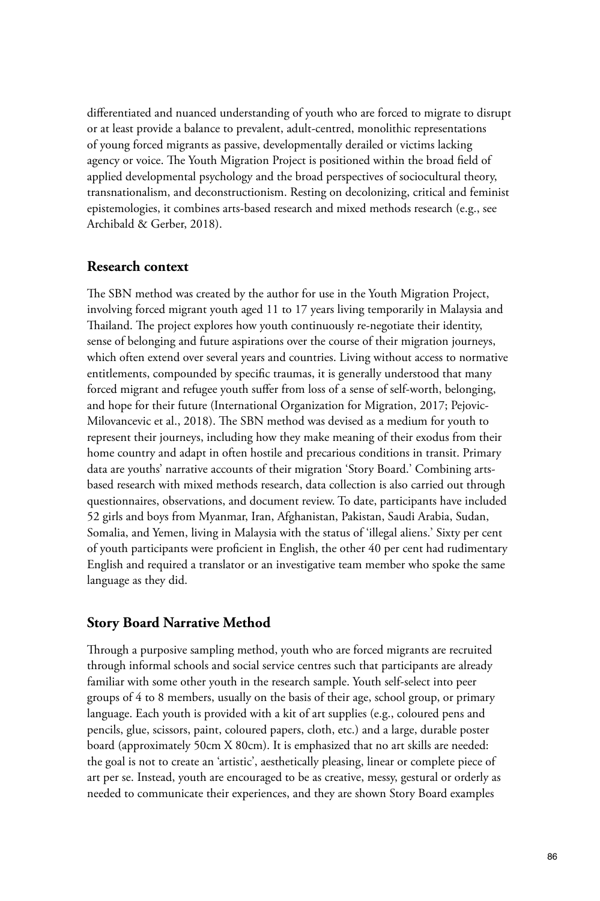differentiated and nuanced understanding of youth who are forced to migrate to disrupt or at least provide a balance to prevalent, adult-centred, monolithic representations of young forced migrants as passive, developmentally derailed or victims lacking agency or voice. The Youth Migration Project is positioned within the broad field of applied developmental psychology and the broad perspectives of sociocultural theory, transnationalism, and deconstructionism. Resting on decolonizing, critical and feminist epistemologies, it combines arts-based research and mixed methods research (e.g., see Archibald & Gerber, 2018).

#### **Research context**

The SBN method was created by the author for use in the Youth Migration Project, involving forced migrant youth aged 11 to 17 years living temporarily in Malaysia and Thailand. The project explores how youth continuously re-negotiate their identity, sense of belonging and future aspirations over the course of their migration journeys, which often extend over several years and countries. Living without access to normative entitlements, compounded by specific traumas, it is generally understood that many forced migrant and refugee youth suffer from loss of a sense of self-worth, belonging, and hope for their future (International Organization for Migration, 2017; Pejovic-Milovancevic et al., 2018). The SBN method was devised as a medium for youth to represent their journeys, including how they make meaning of their exodus from their home country and adapt in often hostile and precarious conditions in transit. Primary data are youths' narrative accounts of their migration 'Story Board.' Combining artsbased research with mixed methods research, data collection is also carried out through questionnaires, observations, and document review. To date, participants have included 52 girls and boys from Myanmar, Iran, Afghanistan, Pakistan, Saudi Arabia, Sudan, Somalia, and Yemen, living in Malaysia with the status of 'illegal aliens.' Sixty per cent of youth participants were proficient in English, the other 40 per cent had rudimentary English and required a translator or an investigative team member who spoke the same language as they did.

#### **Story Board Narrative Method**

Through a purposive sampling method, youth who are forced migrants are recruited through informal schools and social service centres such that participants are already familiar with some other youth in the research sample. Youth self-select into peer groups of 4 to 8 members, usually on the basis of their age, school group, or primary language. Each youth is provided with a kit of art supplies (e.g., coloured pens and pencils, glue, scissors, paint, coloured papers, cloth, etc.) and a large, durable poster board (approximately 50cm X 80cm). It is emphasized that no art skills are needed: the goal is not to create an 'artistic', aesthetically pleasing, linear or complete piece of art per se. Instead, youth are encouraged to be as creative, messy, gestural or orderly as needed to communicate their experiences, and they are shown Story Board examples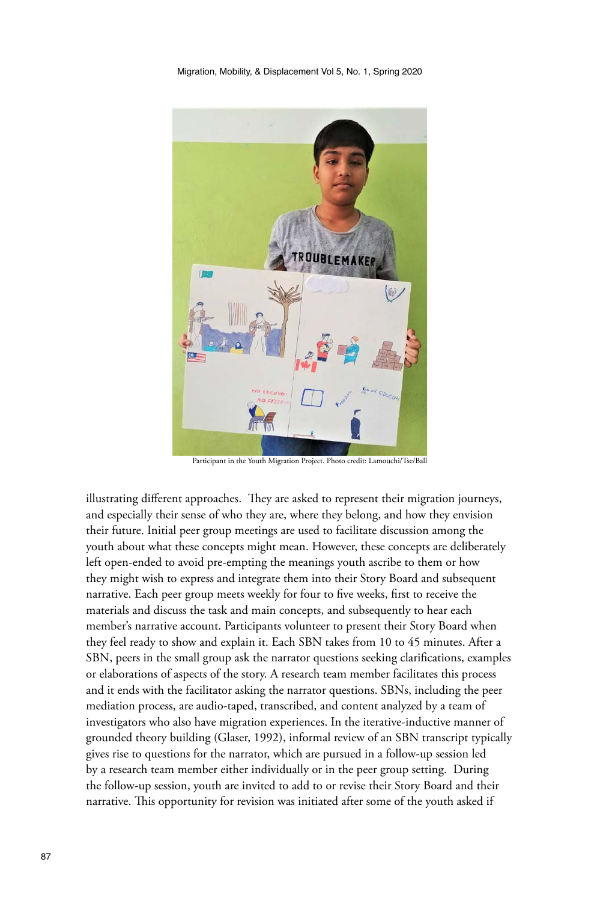

Participant in the Youth Migration Project. Photo credit: Lamouchi/Tse/Ball

illustrating different approaches. They are asked to represent their migration journeys, and especially their sense of who they are, where they belong, and how they envision their future. Initial peer group meetings are used to facilitate discussion among the youth about what these concepts might mean. However, these concepts are deliberately left open-ended to avoid pre-empting the meanings youth ascribe to them or how they might wish to express and integrate them into their Story Board and subsequent narrative. Each peer group meets weekly for four to five weeks, first to receive the materials and discuss the task and main concepts, and subsequently to hear each member's narrative account. Participants volunteer to present their Story Board when they feel ready to show and explain it. Each SBN takes from 10 to 45 minutes. After a SBN, peers in the small group ask the narrator questions seeking clarifications, examples or elaborations of aspects of the story. A research team member facilitates this process and it ends with the facilitator asking the narrator questions. SBNs, including the peer mediation process, are audio-taped, transcribed, and content analyzed by a team of investigators who also have migration experiences. In the iterative-inductive manner of grounded theory building (Glaser, 1992), informal review of an SBN transcript typically gives rise to questions for the narrator, which are pursued in a follow-up session led by a research team member either individually or in the peer group setting. During the follow-up session, youth are invited to add to or revise their Story Board and their narrative. This opportunity for revision was initiated after some of the youth asked if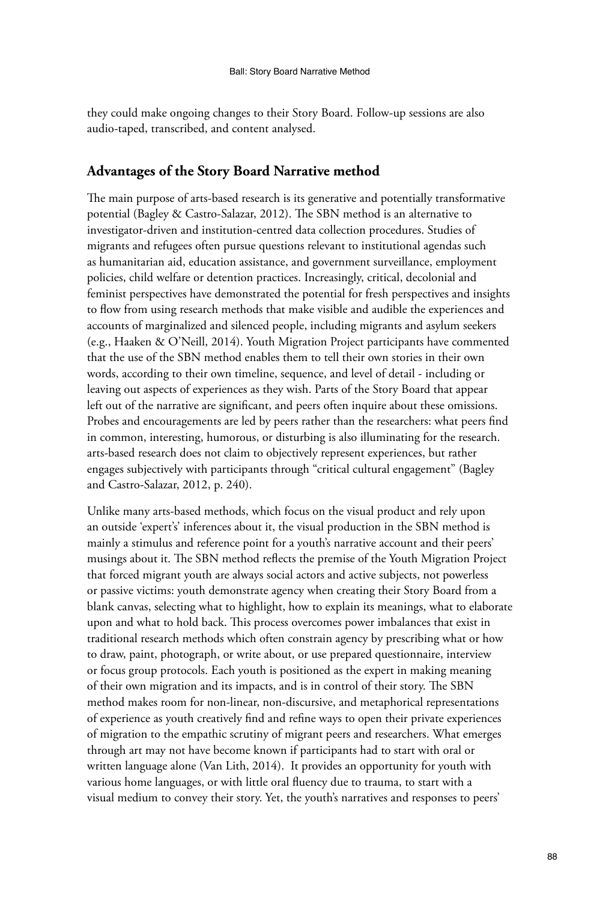they could make ongoing changes to their Story Board. Follow-up sessions are also audio-taped, transcribed, and content analysed.

#### **Advantages of the Story Board Narrative method**

The main purpose of arts-based research is its generative and potentially transformative potential (Bagley & Castro-Salazar, 2012). The SBN method is an alternative to investigator-driven and institution-centred data collection procedures. Studies of migrants and refugees often pursue questions relevant to institutional agendas such as humanitarian aid, education assistance, and government surveillance, employment policies, child welfare or detention practices. Increasingly, critical, decolonial and feminist perspectives have demonstrated the potential for fresh perspectives and insights to flow from using research methods that make visible and audible the experiences and accounts of marginalized and silenced people, including migrants and asylum seekers (e.g., Haaken & O'Neill, 2014). Youth Migration Project participants have commented that the use of the SBN method enables them to tell their own stories in their own words, according to their own timeline, sequence, and level of detail - including or leaving out aspects of experiences as they wish. Parts of the Story Board that appear left out of the narrative are significant, and peers often inquire about these omissions. Probes and encouragements are led by peers rather than the researchers: what peers find in common, interesting, humorous, or disturbing is also illuminating for the research. arts-based research does not claim to objectively represent experiences, but rather engages subjectively with participants through "critical cultural engagement" (Bagley and Castro-Salazar, 2012, p. 240).

Unlike many arts-based methods, which focus on the visual product and rely upon an outside 'expert's' inferences about it, the visual production in the SBN method is mainly a stimulus and reference point for a youth's narrative account and their peers' musings about it. The SBN method reflects the premise of the Youth Migration Project that forced migrant youth are always social actors and active subjects, not powerless or passive victims: youth demonstrate agency when creating their Story Board from a blank canvas, selecting what to highlight, how to explain its meanings, what to elaborate upon and what to hold back. This process overcomes power imbalances that exist in traditional research methods which often constrain agency by prescribing what or how to draw, paint, photograph, or write about, or use prepared questionnaire, interview or focus group protocols. Each youth is positioned as the expert in making meaning of their own migration and its impacts, and is in control of their story. The SBN method makes room for non-linear, non-discursive, and metaphorical representations of experience as youth creatively find and refine ways to open their private experiences of migration to the empathic scrutiny of migrant peers and researchers. What emerges through art may not have become known if participants had to start with oral or written language alone (Van Lith, 2014). It provides an opportunity for youth with various home languages, or with little oral fluency due to trauma, to start with a visual medium to convey their story. Yet, the youth's narratives and responses to peers'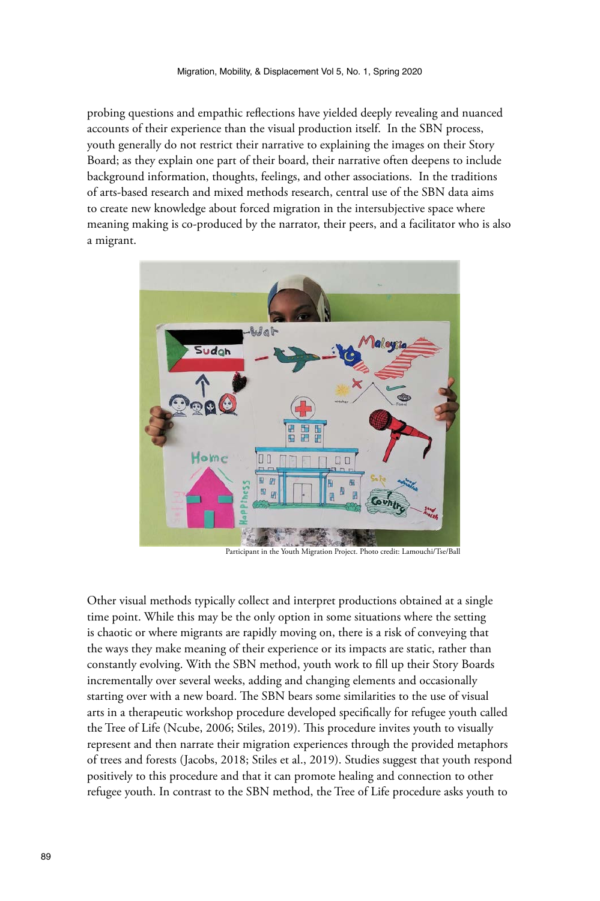probing questions and empathic reflections have yielded deeply revealing and nuanced accounts of their experience than the visual production itself. In the SBN process, youth generally do not restrict their narrative to explaining the images on their Story Board; as they explain one part of their board, their narrative often deepens to include background information, thoughts, feelings, and other associations. In the traditions of arts-based research and mixed methods research, central use of the SBN data aims to create new knowledge about forced migration in the intersubjective space where meaning making is co-produced by the narrator, their peers, and a facilitator who is also a migrant.



Participant in the Youth Migration Project. Photo credit: Lamouchi/Tse/Ball

Other visual methods typically collect and interpret productions obtained at a single time point. While this may be the only option in some situations where the setting is chaotic or where migrants are rapidly moving on, there is a risk of conveying that the ways they make meaning of their experience or its impacts are static, rather than constantly evolving. With the SBN method, youth work to fill up their Story Boards incrementally over several weeks, adding and changing elements and occasionally starting over with a new board. The SBN bears some similarities to the use of visual arts in a therapeutic workshop procedure developed specifically for refugee youth called the Tree of Life (Ncube, 2006; Stiles, 2019). This procedure invites youth to visually represent and then narrate their migration experiences through the provided metaphors of trees and forests (Jacobs, 2018; Stiles et al., 2019). Studies suggest that youth respond positively to this procedure and that it can promote healing and connection to other refugee youth. In contrast to the SBN method, the Tree of Life procedure asks youth to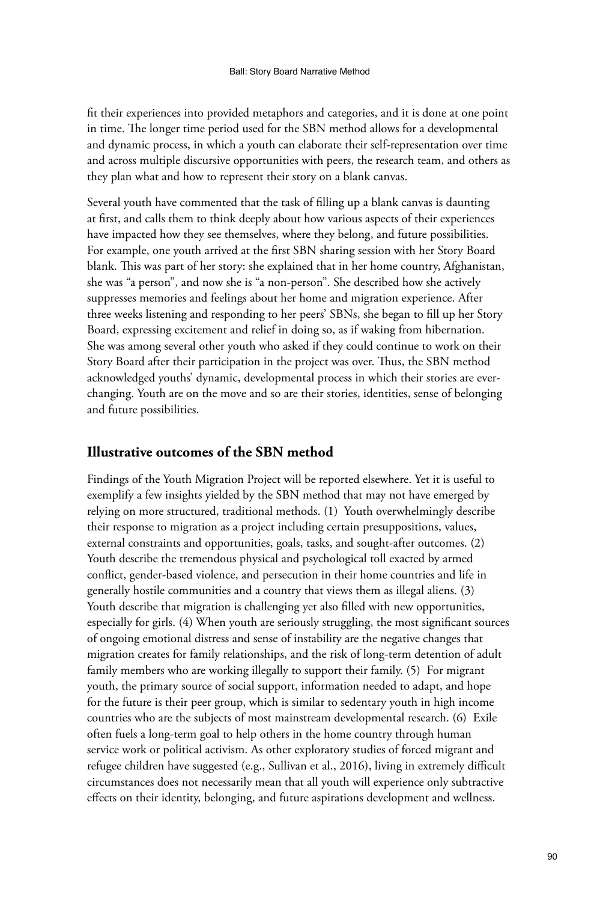fit their experiences into provided metaphors and categories, and it is done at one point in time. The longer time period used for the SBN method allows for a developmental and dynamic process, in which a youth can elaborate their self-representation over time and across multiple discursive opportunities with peers, the research team, and others as they plan what and how to represent their story on a blank canvas.

Several youth have commented that the task of filling up a blank canvas is daunting at first, and calls them to think deeply about how various aspects of their experiences have impacted how they see themselves, where they belong, and future possibilities. For example, one youth arrived at the first SBN sharing session with her Story Board blank. This was part of her story: she explained that in her home country, Afghanistan, she was "a person", and now she is "a non-person". She described how she actively suppresses memories and feelings about her home and migration experience. After three weeks listening and responding to her peers' SBNs, she began to fill up her Story Board, expressing excitement and relief in doing so, as if waking from hibernation. She was among several other youth who asked if they could continue to work on their Story Board after their participation in the project was over. Thus, the SBN method acknowledged youths' dynamic, developmental process in which their stories are everchanging. Youth are on the move and so are their stories, identities, sense of belonging and future possibilities.

### **Illustrative outcomes of the SBN method**

Findings of the Youth Migration Project will be reported elsewhere. Yet it is useful to exemplify a few insights yielded by the SBN method that may not have emerged by relying on more structured, traditional methods. (1) Youth overwhelmingly describe their response to migration as a project including certain presuppositions, values, external constraints and opportunities, goals, tasks, and sought-after outcomes. (2) Youth describe the tremendous physical and psychological toll exacted by armed conflict, gender-based violence, and persecution in their home countries and life in generally hostile communities and a country that views them as illegal aliens. (3) Youth describe that migration is challenging yet also filled with new opportunities, especially for girls. (4) When youth are seriously struggling, the most significant sources of ongoing emotional distress and sense of instability are the negative changes that migration creates for family relationships, and the risk of long-term detention of adult family members who are working illegally to support their family. (5) For migrant youth, the primary source of social support, information needed to adapt, and hope for the future is their peer group, which is similar to sedentary youth in high income countries who are the subjects of most mainstream developmental research. (6) Exile often fuels a long-term goal to help others in the home country through human service work or political activism. As other exploratory studies of forced migrant and refugee children have suggested (e.g., Sullivan et al., 2016), living in extremely difficult circumstances does not necessarily mean that all youth will experience only subtractive effects on their identity, belonging, and future aspirations development and wellness.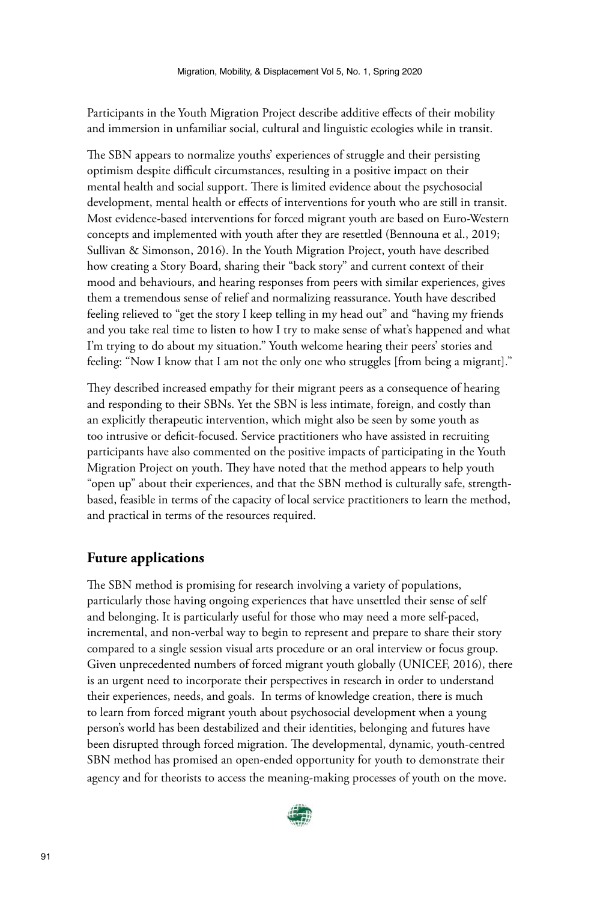Participants in the Youth Migration Project describe additive effects of their mobility and immersion in unfamiliar social, cultural and linguistic ecologies while in transit.

The SBN appears to normalize youths' experiences of struggle and their persisting optimism despite difficult circumstances, resulting in a positive impact on their mental health and social support. There is limited evidence about the psychosocial development, mental health or effects of interventions for youth who are still in transit. Most evidence-based interventions for forced migrant youth are based on Euro-Western concepts and implemented with youth after they are resettled (Bennouna et al., 2019; Sullivan & Simonson, 2016). In the Youth Migration Project, youth have described how creating a Story Board, sharing their "back story" and current context of their mood and behaviours, and hearing responses from peers with similar experiences, gives them a tremendous sense of relief and normalizing reassurance. Youth have described feeling relieved to "get the story I keep telling in my head out" and "having my friends and you take real time to listen to how I try to make sense of what's happened and what I'm trying to do about my situation." Youth welcome hearing their peers' stories and feeling: "Now I know that I am not the only one who struggles [from being a migrant]."

They described increased empathy for their migrant peers as a consequence of hearing and responding to their SBNs. Yet the SBN is less intimate, foreign, and costly than an explicitly therapeutic intervention, which might also be seen by some youth as too intrusive or deficit-focused. Service practitioners who have assisted in recruiting participants have also commented on the positive impacts of participating in the Youth Migration Project on youth. They have noted that the method appears to help youth "open up" about their experiences, and that the SBN method is culturally safe, strengthbased, feasible in terms of the capacity of local service practitioners to learn the method, and practical in terms of the resources required.

## **Future applications**

The SBN method is promising for research involving a variety of populations, particularly those having ongoing experiences that have unsettled their sense of self and belonging. It is particularly useful for those who may need a more self-paced, incremental, and non-verbal way to begin to represent and prepare to share their story compared to a single session visual arts procedure or an oral interview or focus group. Given unprecedented numbers of forced migrant youth globally (UNICEF, 2016), there is an urgent need to incorporate their perspectives in research in order to understand their experiences, needs, and goals. In terms of knowledge creation, there is much to learn from forced migrant youth about psychosocial development when a young person's world has been destabilized and their identities, belonging and futures have been disrupted through forced migration. The developmental, dynamic, youth-centred SBN method has promised an open-ended opportunity for youth to demonstrate their agency and for theorists to access the meaning-making processes of youth on the move.

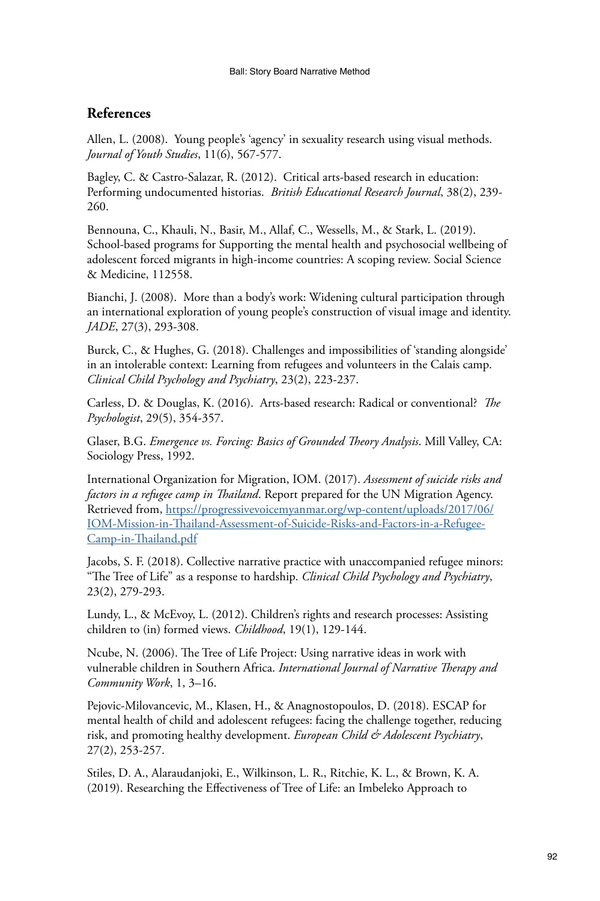# **References**

Allen, L. (2008). Young people's 'agency' in sexuality research using visual methods. *Journal of Youth Studies*, 11(6), 567-577.

Bagley, C. & Castro-Salazar, R. (2012). Critical arts-based research in education: Performing undocumented historias. *British Educational Research Journal*, 38(2), 239- 260.

Bennouna, C., Khauli, N., Basir, M., Allaf, C., Wessells, M., & Stark, L. (2019). School-based programs for Supporting the mental health and psychosocial wellbeing of adolescent forced migrants in high-income countries: A scoping review. Social Science & Medicine, 112558.

Bianchi, J. (2008). More than a body's work: Widening cultural participation through an international exploration of young people's construction of visual image and identity. *JADE*, 27(3), 293-308.

Burck, C., & Hughes, G. (2018). Challenges and impossibilities of 'standing alongside' in an intolerable context: Learning from refugees and volunteers in the Calais camp. *Clinical Child Psychology and Psychiatry*, 23(2), 223-237.

Carless, D. & Douglas, K. (2016). Arts-based research: Radical or conventional? *The Psychologist*, 29(5), 354-357.

Glaser, B.G. *Emergence vs. Forcing: Basics of Grounded Theory Analysis*. Mill Valley, CA: Sociology Press, 1992.

International Organization for Migration, IOM. (2017). *Assessment of suicide risks and factors in a refugee camp in Thailand*. Report prepared for the UN Migration Agency. Retrieved from, [https://progressivevoicemyanmar.org/wp-content/uploads/2017/06/](https://progressivevoicemyanmar.org/wp-content/uploads/2017/06/IOM-Mission-in-Thailand-Assessment-of-Suicide-Risks-and-Factors-in-a-Refugee-Camp-in-Thailand.pdf ) [IOM-Mission-in-Thailand-Assessment-of-Suicide-Risks-and-Factors-in-a-Refugee-](https://progressivevoicemyanmar.org/wp-content/uploads/2017/06/IOM-Mission-in-Thailand-Assessment-of-Suicide-Risks-and-Factors-in-a-Refugee-Camp-in-Thailand.pdf )[Camp-in-Thailand.pdf](https://progressivevoicemyanmar.org/wp-content/uploads/2017/06/IOM-Mission-in-Thailand-Assessment-of-Suicide-Risks-and-Factors-in-a-Refugee-Camp-in-Thailand.pdf )

Jacobs, S. F. (2018). Collective narrative practice with unaccompanied refugee minors: "The Tree of Life" as a response to hardship. *Clinical Child Psychology and Psychiatry*, 23(2), 279-293.

Lundy, L., & McEvoy, L. (2012). Children's rights and research processes: Assisting children to (in) formed views. *Childhood*, 19(1), 129-144.

Ncube, N. (2006). The Tree of Life Project: Using narrative ideas in work with vulnerable children in Southern Africa. *International Journal of Narrative Therapy and Community Work*, 1, 3–16.

Pejovic-Milovancevic, M., Klasen, H., & Anagnostopoulos, D. (2018). ESCAP for mental health of child and adolescent refugees: facing the challenge together, reducing risk, and promoting healthy development. *European Child & Adolescent Psychiatry*, 27(2), 253-257.

Stiles, D. A., Alaraudanjoki, E., Wilkinson, L. R., Ritchie, K. L., & Brown, K. A. (2019). Researching the Effectiveness of Tree of Life: an Imbeleko Approach to